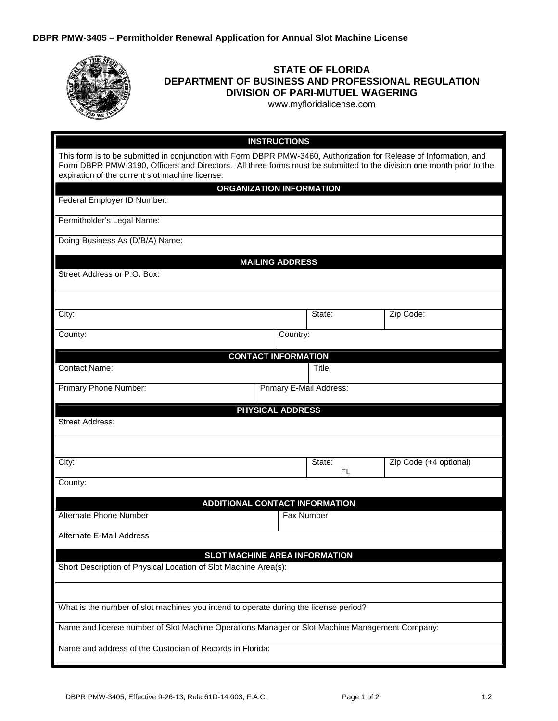| <b>STATE OF FLORIDA</b><br>DEPARTMENT OF BUSINESS AND PROFESSIONAL REGULATION<br><b>DIVISION OF PARI-MUTUEL WAGERING</b><br>www.myfloridalicense.com                                                                                                                                          |                                       |                         |                                |  |  |
|-----------------------------------------------------------------------------------------------------------------------------------------------------------------------------------------------------------------------------------------------------------------------------------------------|---------------------------------------|-------------------------|--------------------------------|--|--|
|                                                                                                                                                                                                                                                                                               | <b>INSTRUCTIONS</b>                   |                         |                                |  |  |
| This form is to be submitted in conjunction with Form DBPR PMW-3460, Authorization for Release of Information, and<br>Form DBPR PMW-3190, Officers and Directors. All three forms must be submitted to the division one month prior to the<br>expiration of the current slot machine license. |                                       |                         |                                |  |  |
|                                                                                                                                                                                                                                                                                               | <b>ORGANIZATION INFORMATION</b>       |                         |                                |  |  |
| Federal Employer ID Number:                                                                                                                                                                                                                                                                   |                                       |                         |                                |  |  |
| Permitholder's Legal Name:                                                                                                                                                                                                                                                                    |                                       |                         |                                |  |  |
| Doing Business As (D/B/A) Name:                                                                                                                                                                                                                                                               |                                       |                         |                                |  |  |
|                                                                                                                                                                                                                                                                                               | <b>MAILING ADDRESS</b>                |                         |                                |  |  |
| Street Address or P.O. Box:                                                                                                                                                                                                                                                                   |                                       |                         |                                |  |  |
|                                                                                                                                                                                                                                                                                               |                                       |                         |                                |  |  |
| City:                                                                                                                                                                                                                                                                                         |                                       | State:                  | Zip Code:                      |  |  |
| County:                                                                                                                                                                                                                                                                                       |                                       | Country:                |                                |  |  |
|                                                                                                                                                                                                                                                                                               | <b>CONTACT INFORMATION</b>            |                         |                                |  |  |
| <b>Contact Name:</b>                                                                                                                                                                                                                                                                          |                                       | Title:                  |                                |  |  |
| Primary Phone Number:                                                                                                                                                                                                                                                                         |                                       | Primary E-Mail Address: |                                |  |  |
|                                                                                                                                                                                                                                                                                               | <b>PHYSICAL ADDRESS</b>               |                         |                                |  |  |
| <b>Street Address:</b>                                                                                                                                                                                                                                                                        |                                       |                         |                                |  |  |
|                                                                                                                                                                                                                                                                                               |                                       |                         |                                |  |  |
| City:                                                                                                                                                                                                                                                                                         |                                       | State:                  | $\angle$ ip Code (+4 optional) |  |  |
| County:                                                                                                                                                                                                                                                                                       |                                       | FL                      |                                |  |  |
|                                                                                                                                                                                                                                                                                               | <b>ADDITIONAL CONTACT INFORMATION</b> |                         |                                |  |  |
| <b>Alternate Phone Number</b>                                                                                                                                                                                                                                                                 |                                       | Fax Number              |                                |  |  |
| <b>Alternate E-Mail Address</b>                                                                                                                                                                                                                                                               |                                       |                         |                                |  |  |
|                                                                                                                                                                                                                                                                                               | SLOT MACHINE AREA INFORMATION         |                         |                                |  |  |
| Short Description of Physical Location of Slot Machine Area(s):                                                                                                                                                                                                                               |                                       |                         |                                |  |  |
|                                                                                                                                                                                                                                                                                               |                                       |                         |                                |  |  |
| What is the number of slot machines you intend to operate during the license period?                                                                                                                                                                                                          |                                       |                         |                                |  |  |
| Name and license number of Slot Machine Operations Manager or Slot Machine Management Company:                                                                                                                                                                                                |                                       |                         |                                |  |  |
| Name and address of the Custodian of Records in Florida:                                                                                                                                                                                                                                      |                                       |                         |                                |  |  |
|                                                                                                                                                                                                                                                                                               |                                       |                         |                                |  |  |